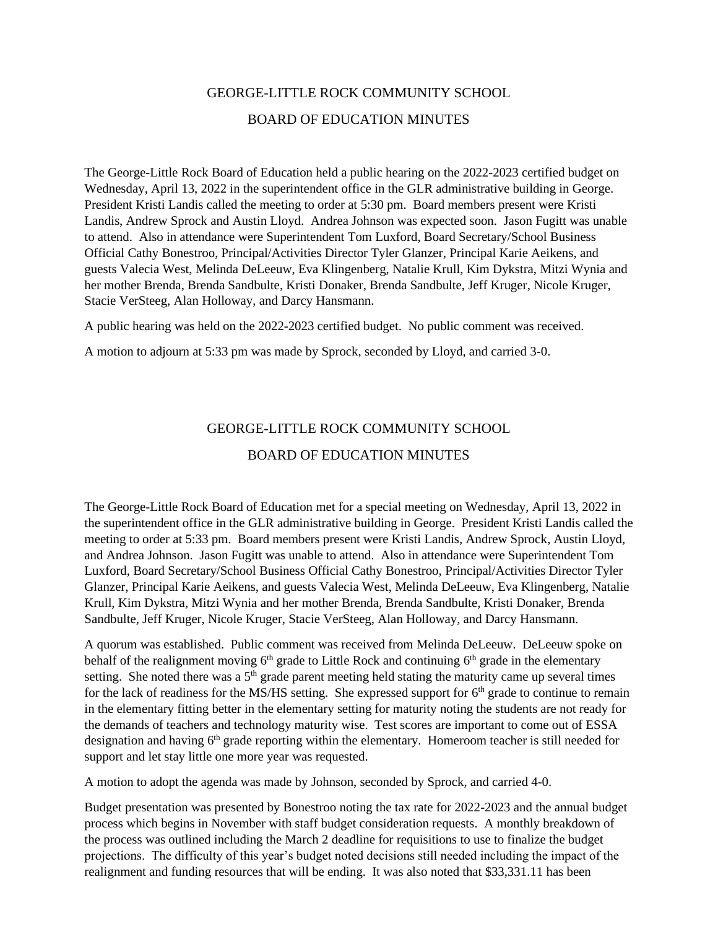## GEORGE-LITTLE ROCK COMMUNITY SCHOOL BOARD OF EDUCATION MINUTES

The George-Little Rock Board of Education held a public hearing on the 2022-2023 certified budget on Wednesday, April 13, 2022 in the superintendent office in the GLR administrative building in George. President Kristi Landis called the meeting to order at 5:30 pm. Board members present were Kristi Landis, Andrew Sprock and Austin Lloyd. Andrea Johnson was expected soon. Jason Fugitt was unable to attend. Also in attendance were Superintendent Tom Luxford, Board Secretary/School Business Official Cathy Bonestroo, Principal/Activities Director Tyler Glanzer, Principal Karie Aeikens, and guests Valecia West, Melinda DeLeeuw, Eva Klingenberg, Natalie Krull, Kim Dykstra, Mitzi Wynia and her mother Brenda, Brenda Sandbulte, Kristi Donaker, Brenda Sandbulte, Jeff Kruger, Nicole Kruger, Stacie VerSteeg, Alan Holloway, and Darcy Hansmann.

A public hearing was held on the 2022-2023 certified budget. No public comment was received.

A motion to adjourn at 5:33 pm was made by Sprock, seconded by Lloyd, and carried 3-0.

## GEORGE-LITTLE ROCK COMMUNITY SCHOOL

## BOARD OF EDUCATION MINUTES

The George-Little Rock Board of Education met for a special meeting on Wednesday, April 13, 2022 in the superintendent office in the GLR administrative building in George. President Kristi Landis called the meeting to order at 5:33 pm. Board members present were Kristi Landis, Andrew Sprock, Austin Lloyd, and Andrea Johnson. Jason Fugitt was unable to attend. Also in attendance were Superintendent Tom Luxford, Board Secretary/School Business Official Cathy Bonestroo, Principal/Activities Director Tyler Glanzer, Principal Karie Aeikens, and guests Valecia West, Melinda DeLeeuw, Eva Klingenberg, Natalie Krull, Kim Dykstra, Mitzi Wynia and her mother Brenda, Brenda Sandbulte, Kristi Donaker, Brenda Sandbulte, Jeff Kruger, Nicole Kruger, Stacie VerSteeg, Alan Holloway, and Darcy Hansmann.

A quorum was established. Public comment was received from Melinda DeLeeuw. DeLeeuw spoke on behalf of the realignment moving  $6<sup>th</sup>$  grade to Little Rock and continuing  $6<sup>th</sup>$  grade in the elementary setting. She noted there was a  $5<sup>th</sup>$  grade parent meeting held stating the maturity came up several times for the lack of readiness for the MS/HS setting. She expressed support for 6<sup>th</sup> grade to continue to remain in the elementary fitting better in the elementary setting for maturity noting the students are not ready for the demands of teachers and technology maturity wise. Test scores are important to come out of ESSA designation and having 6<sup>th</sup> grade reporting within the elementary. Homeroom teacher is still needed for support and let stay little one more year was requested.

A motion to adopt the agenda was made by Johnson, seconded by Sprock, and carried 4-0.

Budget presentation was presented by Bonestroo noting the tax rate for 2022-2023 and the annual budget process which begins in November with staff budget consideration requests. A monthly breakdown of the process was outlined including the March 2 deadline for requisitions to use to finalize the budget projections. The difficulty of this year's budget noted decisions still needed including the impact of the realignment and funding resources that will be ending. It was also noted that \$33,331.11 has been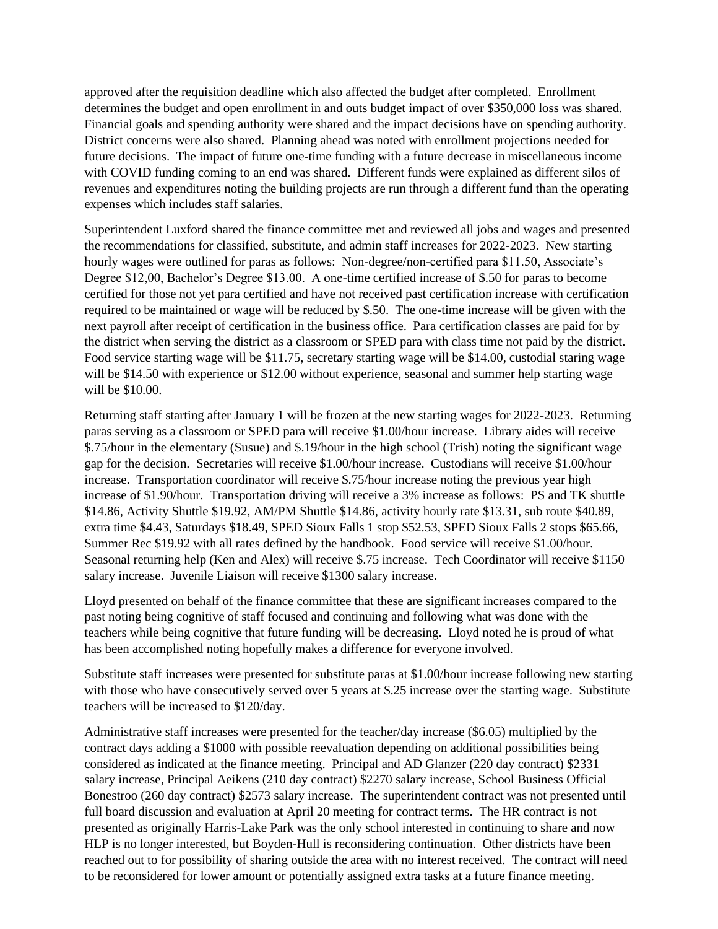approved after the requisition deadline which also affected the budget after completed. Enrollment determines the budget and open enrollment in and outs budget impact of over \$350,000 loss was shared. Financial goals and spending authority were shared and the impact decisions have on spending authority. District concerns were also shared. Planning ahead was noted with enrollment projections needed for future decisions. The impact of future one-time funding with a future decrease in miscellaneous income with COVID funding coming to an end was shared. Different funds were explained as different silos of revenues and expenditures noting the building projects are run through a different fund than the operating expenses which includes staff salaries.

Superintendent Luxford shared the finance committee met and reviewed all jobs and wages and presented the recommendations for classified, substitute, and admin staff increases for 2022-2023. New starting hourly wages were outlined for paras as follows: Non-degree/non-certified para \$11.50, Associate's Degree \$12,00, Bachelor's Degree \$13.00. A one-time certified increase of \$.50 for paras to become certified for those not yet para certified and have not received past certification increase with certification required to be maintained or wage will be reduced by \$.50. The one-time increase will be given with the next payroll after receipt of certification in the business office. Para certification classes are paid for by the district when serving the district as a classroom or SPED para with class time not paid by the district. Food service starting wage will be \$11.75, secretary starting wage will be \$14.00, custodial staring wage will be \$14.50 with experience or \$12.00 without experience, seasonal and summer help starting wage will be \$10.00.

Returning staff starting after January 1 will be frozen at the new starting wages for 2022-2023. Returning paras serving as a classroom or SPED para will receive \$1.00/hour increase. Library aides will receive \$.75/hour in the elementary (Susue) and \$.19/hour in the high school (Trish) noting the significant wage gap for the decision. Secretaries will receive \$1.00/hour increase. Custodians will receive \$1.00/hour increase. Transportation coordinator will receive \$.75/hour increase noting the previous year high increase of \$1.90/hour. Transportation driving will receive a 3% increase as follows: PS and TK shuttle \$14.86, Activity Shuttle \$19.92, AM/PM Shuttle \$14.86, activity hourly rate \$13.31, sub route \$40.89, extra time \$4.43, Saturdays \$18.49, SPED Sioux Falls 1 stop \$52.53, SPED Sioux Falls 2 stops \$65.66, Summer Rec \$19.92 with all rates defined by the handbook. Food service will receive \$1.00/hour. Seasonal returning help (Ken and Alex) will receive \$.75 increase. Tech Coordinator will receive \$1150 salary increase. Juvenile Liaison will receive \$1300 salary increase.

Lloyd presented on behalf of the finance committee that these are significant increases compared to the past noting being cognitive of staff focused and continuing and following what was done with the teachers while being cognitive that future funding will be decreasing. Lloyd noted he is proud of what has been accomplished noting hopefully makes a difference for everyone involved.

Substitute staff increases were presented for substitute paras at \$1.00/hour increase following new starting with those who have consecutively served over 5 years at \$.25 increase over the starting wage. Substitute teachers will be increased to \$120/day.

Administrative staff increases were presented for the teacher/day increase (\$6.05) multiplied by the contract days adding a \$1000 with possible reevaluation depending on additional possibilities being considered as indicated at the finance meeting. Principal and AD Glanzer (220 day contract) \$2331 salary increase, Principal Aeikens (210 day contract) \$2270 salary increase, School Business Official Bonestroo (260 day contract) \$2573 salary increase. The superintendent contract was not presented until full board discussion and evaluation at April 20 meeting for contract terms. The HR contract is not presented as originally Harris-Lake Park was the only school interested in continuing to share and now HLP is no longer interested, but Boyden-Hull is reconsidering continuation. Other districts have been reached out to for possibility of sharing outside the area with no interest received. The contract will need to be reconsidered for lower amount or potentially assigned extra tasks at a future finance meeting.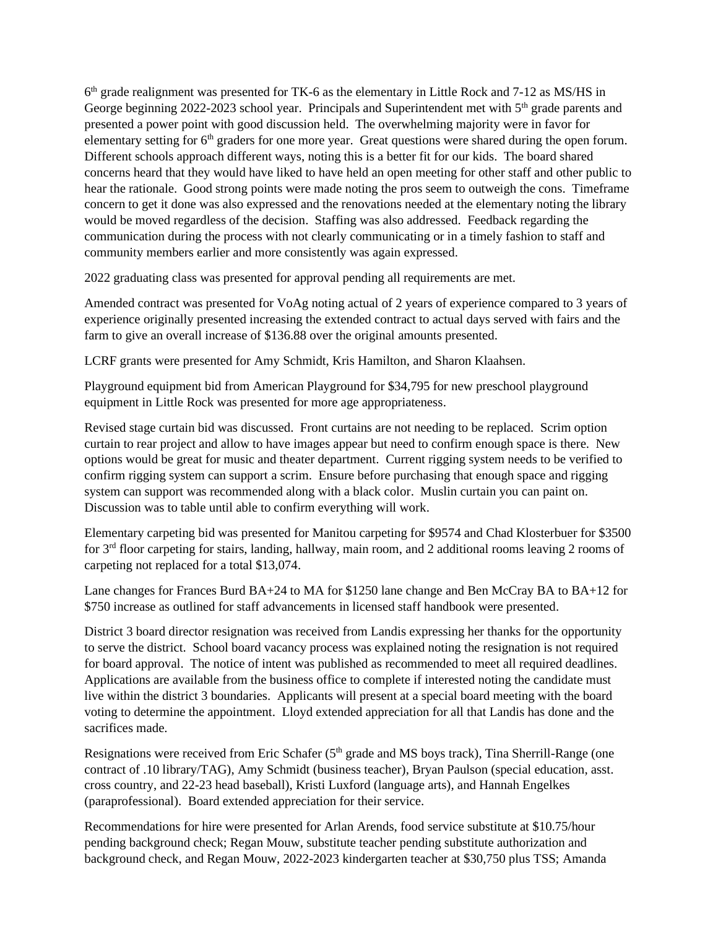6<sup>th</sup> grade realignment was presented for TK-6 as the elementary in Little Rock and 7-12 as MS/HS in George beginning 2022-2023 school year. Principals and Superintendent met with  $5<sup>th</sup>$  grade parents and presented a power point with good discussion held. The overwhelming majority were in favor for elementary setting for  $6<sup>th</sup>$  graders for one more year. Great questions were shared during the open forum. Different schools approach different ways, noting this is a better fit for our kids. The board shared concerns heard that they would have liked to have held an open meeting for other staff and other public to hear the rationale. Good strong points were made noting the pros seem to outweigh the cons. Timeframe concern to get it done was also expressed and the renovations needed at the elementary noting the library would be moved regardless of the decision. Staffing was also addressed. Feedback regarding the communication during the process with not clearly communicating or in a timely fashion to staff and community members earlier and more consistently was again expressed.

2022 graduating class was presented for approval pending all requirements are met.

Amended contract was presented for VoAg noting actual of 2 years of experience compared to 3 years of experience originally presented increasing the extended contract to actual days served with fairs and the farm to give an overall increase of \$136.88 over the original amounts presented.

LCRF grants were presented for Amy Schmidt, Kris Hamilton, and Sharon Klaahsen.

Playground equipment bid from American Playground for \$34,795 for new preschool playground equipment in Little Rock was presented for more age appropriateness.

Revised stage curtain bid was discussed. Front curtains are not needing to be replaced. Scrim option curtain to rear project and allow to have images appear but need to confirm enough space is there. New options would be great for music and theater department. Current rigging system needs to be verified to confirm rigging system can support a scrim. Ensure before purchasing that enough space and rigging system can support was recommended along with a black color. Muslin curtain you can paint on. Discussion was to table until able to confirm everything will work.

Elementary carpeting bid was presented for Manitou carpeting for \$9574 and Chad Klosterbuer for \$3500 for 3rd floor carpeting for stairs, landing, hallway, main room, and 2 additional rooms leaving 2 rooms of carpeting not replaced for a total \$13,074.

Lane changes for Frances Burd BA+24 to MA for \$1250 lane change and Ben McCray BA to BA+12 for \$750 increase as outlined for staff advancements in licensed staff handbook were presented.

District 3 board director resignation was received from Landis expressing her thanks for the opportunity to serve the district. School board vacancy process was explained noting the resignation is not required for board approval. The notice of intent was published as recommended to meet all required deadlines. Applications are available from the business office to complete if interested noting the candidate must live within the district 3 boundaries. Applicants will present at a special board meeting with the board voting to determine the appointment. Lloyd extended appreciation for all that Landis has done and the sacrifices made.

Resignations were received from Eric Schafer (5<sup>th</sup> grade and MS boys track), Tina Sherrill-Range (one contract of .10 library/TAG), Amy Schmidt (business teacher), Bryan Paulson (special education, asst. cross country, and 22-23 head baseball), Kristi Luxford (language arts), and Hannah Engelkes (paraprofessional). Board extended appreciation for their service.

Recommendations for hire were presented for Arlan Arends, food service substitute at \$10.75/hour pending background check; Regan Mouw, substitute teacher pending substitute authorization and background check, and Regan Mouw, 2022-2023 kindergarten teacher at \$30,750 plus TSS; Amanda